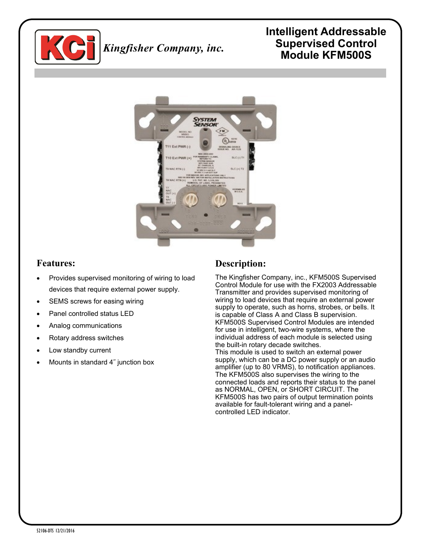

# *Kingfisher Company, inc.*

## **Intelligent Addressable Supervised Control Module KFM500S**



## **Features:**

- Provides supervised monitoring of wiring to load devices that require external power supply.
- SEMS screws for easing wiring
- Panel controlled status LED
- Analog communications
- Rotary address switches
- Low standby current
- Mounts in standard 4˝ junction box

## **Description:**

The Kingfisher Company, inc., KFM500S Supervised Control Module for use with the FX2003 Addressable Transmitter and provides supervised monitoring of wiring to load devices that require an external power supply to operate, such as horns, strobes, or bells. It is capable of Class A and Class B supervision. KFM500S Supervised Control Modules are intended for use in intelligent, two-wire systems, where the individual address of each module is selected using the built-in rotary decade switches. This module is used to switch an external power supply, which can be a DC power supply or an audio amplifier (up to 80 VRMS), to notification appliances. The KFM500S also supervises the wiring to the connected loads and reports their status to the panel as NORMAL, OPEN, or SHORT CIRCUIT. The KFM500S has two pairs of output termination points available for fault-tolerant wiring and a panelcontrolled LED indicator.